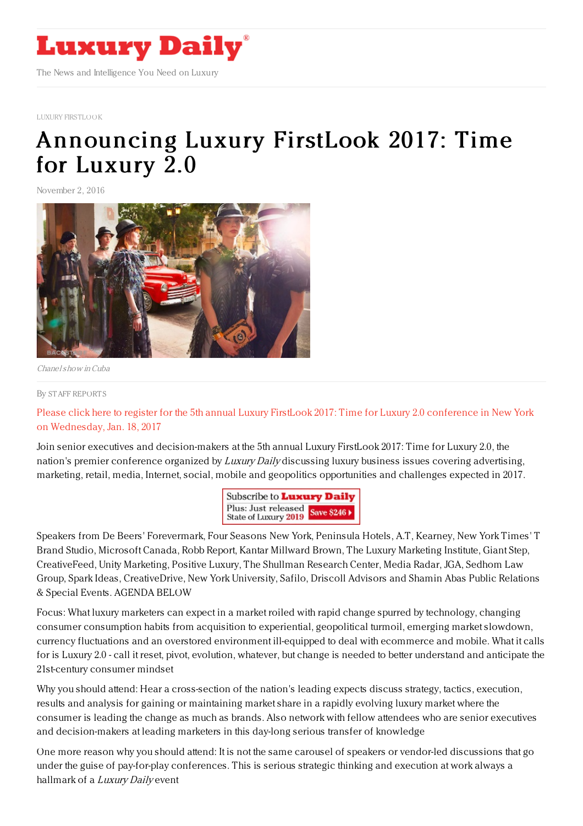

LUXURY [FIRSTLOOK](https://www.luxurydaily.com/luxury-firstlook/)

## [Announcing](https://www.luxurydaily.com/announcing-luxury-firstlook-2017-time-for-luxury-2-0-26/) Luxury FirstLook 2017: Time for Luxury 2.0

November 2, 2016



Chanel show in Cuba

## By STAFF [REPORT](file:///author/staff-reports) S

Please click here to register for the 5th annual Luxury FirstLook 2017: Time for Luxury 2.0 [conference](https://www.luxurydaily.com/conference-page/) in New York on Wednesday, Jan. 18, 2017

Join senior executives and decision-makers at the 5th annual Luxury FirstLook 2017: Time for Luxury 2.0, the nation's premier conference organized by Luxury Daily discussing luxury business issues covering advertising, marketing, retail, media, Internet, social, mobile and geopolitics opportunities and challenges expected in 2017.

| Subscribe to <b>Luxury Daily</b>                       |  |
|--------------------------------------------------------|--|
| Plus: Just released Save \$246<br>State of Luxury 2019 |  |

Speakers from De Beers' Forevermark, Four Seasons New York, Peninsula Hotels, A.T, Kearney, New York Times' T Brand Studio, Microsoft Canada, Robb Report, Kantar Millward Brown, The Luxury Marketing Institute, Giant Step, CreativeFeed, Unity Marketing, Positive Luxury, The Shullman Research Center, Media Radar, JGA, Sedhom Law Group, Spark Ideas, CreativeDrive, New York University, Safilo, Driscoll Advisors and Shamin Abas Public Relations & Special Events. AGENDA BELOW

Focus: What luxury marketers can expect in a market roiled with rapid change spurred by technology, changing consumer consumption habits from acquisition to experiential, geopolitical turmoil, emerging market slowdown, currency fluctuations and an overstored environment ill-equipped to deal with ecommerce and mobile. What it calls for is Luxury 2.0 - call it reset, pivot, evolution, whatever, but change is needed to better understand and anticipate the 21st-century consumer mindset

Why you should attend: Hear a cross-section of the nation's leading expects discuss strategy, tactics, execution, results and analysis for gaining or maintaining market share in a rapidly evolving luxury market where the consumer is leading the change as much as brands. Also network with fellow attendees who are senior executives and decision-makers at leading marketers in this day-long serious transfer of knowledge

One more reason why you should attend: It is not the same carousel of speakers or vendor-led discussions that go under the guise of pay-for-play conferences. This is serious strategic thinking and execution at work always a hallmark of a Luxury Daily event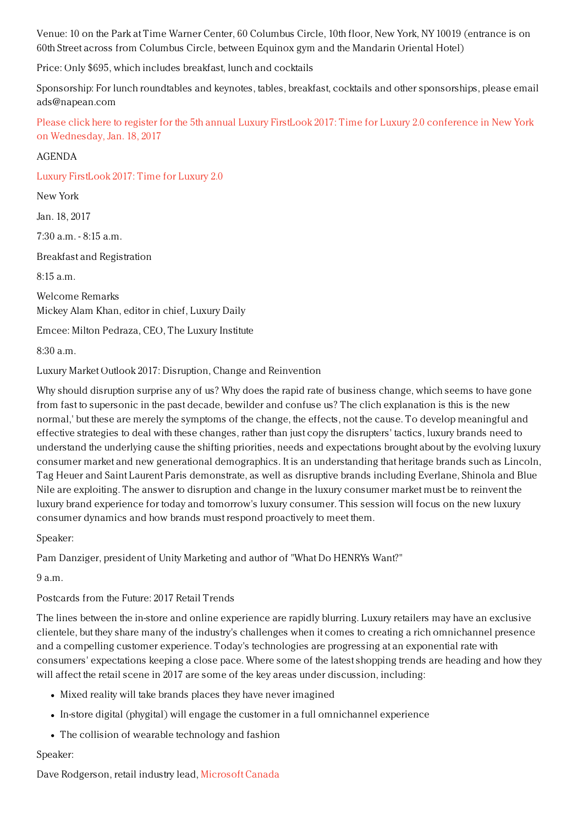Venue: 10 on the Park at Time Warner Center, 60 Columbus Circle, 10th floor, New York, NY 10019 (entrance is on 60th Street across from Columbus Circle, between Equinox gym and the Mandarin Oriental Hotel)

Price: Only \$695, which includes breakfast, lunch and cocktails

Sponsorship: For lunch roundtables and keynotes, tables, breakfast, cocktails and other sponsorships, please email ads@napean.com

Please click here to register for the 5th annual Luxury FirstLook 2017: Time for Luxury 2.0 conference in New York on [Wednesday,](https://www.luxurydaily.com/conference-page/) Jan. 18, 2017

## AGENDA

Luxury [FirstLook](https://www.luxurydaily.com/conference-page/) 2017: Time for Luxury 2.0

New York

Jan. 18, 2017

7:30 a.m. - 8:15 a.m.

Breakfast and Registration

8:15 a.m.

Welcome Remarks Mickey Alam Khan, editor in chief, Luxury Daily

Emcee: Milton Pedraza, CEO, The Luxury Institute

8:30 a.m.

Luxury Market Outlook 2017: Disruption, Change and Reinvention

Why should disruption surprise any of us? Why does the rapid rate of business change, which seems to have gone from fast to supersonic in the past decade, bewilder and confuse us? The clich explanation is this is the new normal,' but these are merely the symptoms of the change, the effects, not the cause. To develop meaningful and effective strategies to deal with these changes, rather than just copy the disrupters' tactics, luxury brands need to understand the underlying cause the shifting priorities, needs and expectations brought about by the evolving luxury consumer market and new generational demographics. It is an understanding that heritage brands such as Lincoln, Tag Heuer and Saint Laurent Paris demonstrate, as well as disruptive brands including Everlane, Shinola and Blue Nile are exploiting. The answer to disruption and change in the luxury consumer market must be to reinvent the luxury brand experience for today and tomorrow's luxury consumer. This session will focus on the new luxury consumer dynamics and how brands must respond proactively to meet them.

Speaker:

Pam Danziger, president of Unity Marketing and author of "What Do HENRYs Want?"

9 a.m.

Postcards from the Future: 2017 Retail Trends

The lines between the in-store and online experience are rapidly blurring. Luxury retailers may have an exclusive clientele, but they share many of the industry's challenges when it comes to creating a rich omnichannel presence and a compelling customer experience. Today's technologies are progressing at an exponential rate with consumers' expectations keeping a close pace. Where some of the latest shopping trends are heading and how they will affect the retail scene in 2017 are some of the key areas under discussion, including:

- Mixed reality will take brands places they have never imagined
- In-store digital (phygital) will engage the customer in a full omnichannel experience
- The collision of wearable technology and fashion

## Speaker:

Dave Rodgerson, retail industry lead, [Microsoft](http://www.microsoft.com/en-ca/default.aspx) Canada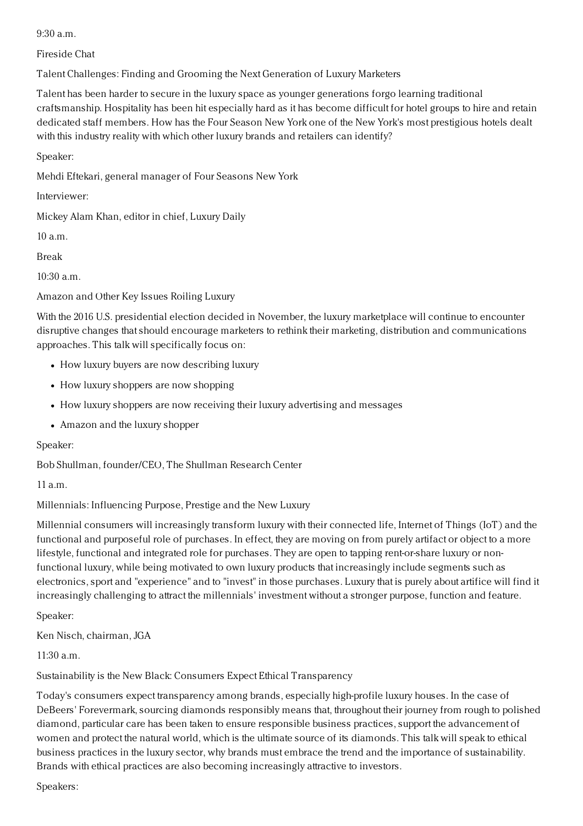$9:30a$  m.

Fireside Chat

Talent Challenges: Finding and Grooming the Next Generation of Luxury Marketers

Talent has been harder to secure in the luxury space as younger generations forgo learning traditional craftsmanship. Hospitality has been hit especially hard as it has become difficult for hotel groups to hire and retain dedicated staff members. How has the Four Season New York one of the New York's most prestigious hotels dealt with this industry reality with which other luxury brands and retailers can identify?

Speaker:

Mehdi Eftekari, general manager of Four Seasons New York

Interviewer:

Mickey Alam Khan, editor in chief, Luxury Daily

10 a.m.

Break

10:30 a.m.

Amazon and Other Key Issues Roiling Luxury

With the 2016 U.S. presidential election decided in November, the luxury marketplace will continue to encounter disruptive changes that should encourage marketers to rethink their marketing, distribution and communications approaches. This talk will specifically focus on:

- How luxury buyers are now describing luxury
- How luxury shoppers are now shopping
- How luxury shoppers are now receiving their luxury advertising and messages
- Amazon and the luxury shopper

Speaker:

Bob Shullman, founder/CEO, The Shullman Research Center

11 a.m.

Millennials: Influencing Purpose, Prestige and the New Luxury

Millennial consumers will increasingly transform luxury with their connected life, Internet of Things (IoT) and the functional and purposeful role of purchases. In effect, they are moving on from purely artifact or object to a more lifestyle, functional and integrated role for purchases. They are open to tapping rent-or-share luxury or nonfunctional luxury, while being motivated to own luxury products that increasingly include segments such as electronics, sport and "experience" and to "invest" in those purchases. Luxury that is purely about artifice will find it increasingly challenging to attract the millennials' investment without a stronger purpose, function and feature.

Speaker:

Ken Nisch, chairman, JGA

11:30 a.m.

Sustainability is the New Black: Consumers Expect Ethical Transparency

Today's consumers expect transparency among brands, especially high-profile luxury houses. In the case of DeBeers' Forevermark, sourcing diamonds responsibly means that, throughout their journey from rough to polished diamond, particular care has been taken to ensure responsible business practices, support the advancement of women and protect the natural world, which is the ultimate source of its diamonds. This talk will speak to ethical business practices in the luxury sector, why brands must embrace the trend and the importance of sustainability. Brands with ethical practices are also becoming increasingly attractive to investors.

Speakers: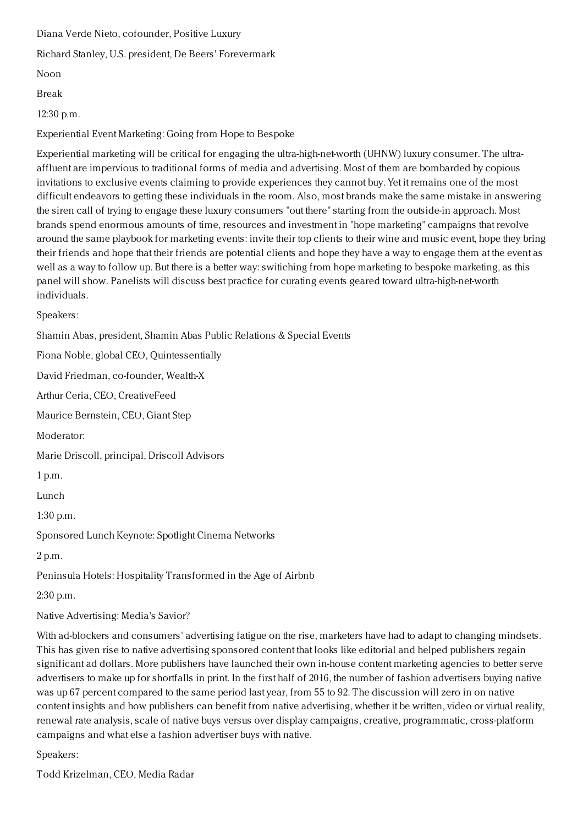Diana Verde Nieto, cofounder, Positive Luxury

Richard Stanley, U.S. president, De Beers' Forevermark

Noon

Break

12:30 p.m.

Experiential Event Marketing: Going from Hope to Bespoke

Experiential marketing will be critical for engaging the ultra-high-net-worth (UHNW) luxury consumer. The ultraaffluent are impervious to traditional forms of media and advertising. Most of them are bombarded by copious invitations to exclusive events claiming to provide experiences they cannot buy. Yet it remains one of the most difficult endeavors to getting these individuals in the room. Also, most brands make the same mistake in answering the siren call of trying to engage these luxury consumers "out there" starting from the outside-in approach. Most brands spend enormous amounts of time, resources and investment in "hope marketing" campaigns that revolve around the same playbook for marketing events: invite their top clients to their wine and music event, hope they bring their friends and hope that their friends are potential clients and hope they have a way to engage them at the event as well as a way to follow up. But there is a better way: switiching from hope marketing to bespoke marketing, as this panel will show. Panelists will discuss best practice for curating events geared toward ultra-high-net-worth individuals.

Speakers:

Shamin Abas, president, Shamin Abas Public Relations & Special Events

Fiona Noble, global CEO, Quintessentially

David Friedman, co-founder, Wealth-X

Arthur Ceria, CEO, CreativeFeed

Maurice Bernstein, CEO, Giant Step

Moderator:

Marie Driscoll, principal, Driscoll Advisors

1 p.m.

Lunch

1:30 p.m.

Sponsored Lunch Keynote: Spotlight Cinema Networks

2 p.m.

Peninsula Hotels: Hospitality Transformed in the Age of Airbnb

2:30 p.m.

Native Advertising: Media's Savior?

With ad-blockers and consumers' advertising fatigue on the rise, marketers have had to adapt to changing mindsets. This has given rise to native advertising sponsored content that looks like editorial and helped publishers regain significant ad dollars. More publishers have launched their own in-house content marketing agencies to better serve advertisers to make up for shortfalls in print. In the first half of 2016, the number of fashion advertisers buying native was up 67 percent compared to the same period last year, from 55 to 92. The discussion will zero in on native content insights and how publishers can benefit from native advertising, whether it be written, video or virtual reality, renewal rate analysis, scale of native buys versus over display campaigns, creative, programmatic, cross-platform campaigns and what else a fashion advertiser buys with native.

Speakers:

Todd Krizelman, CEO, Media Radar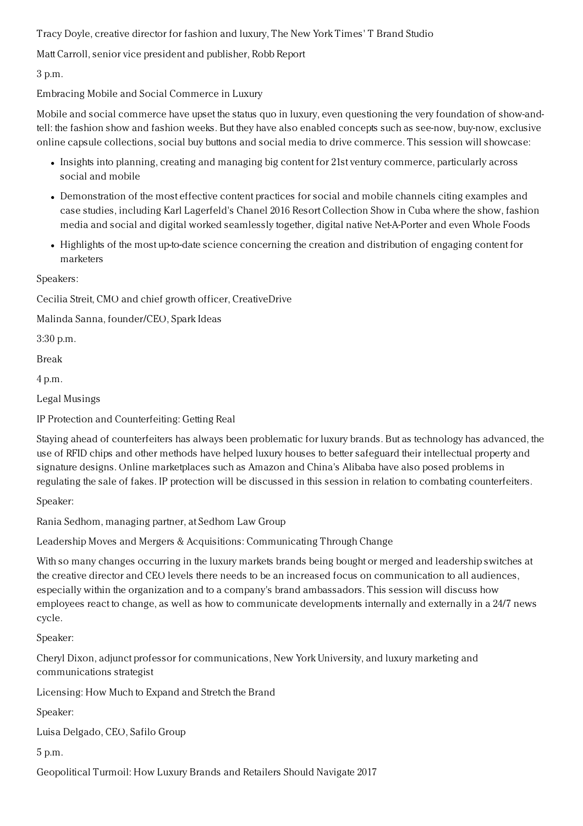Tracy Doyle, creative director for fashion and luxury, The New York Times' T Brand Studio

Matt Carroll, senior vice president and publisher, Robb Report

3 p.m.

Embracing Mobile and Social Commerce in Luxury

Mobile and social commerce have upset the status quo in luxury, even questioning the very foundation of show-andtell: the fashion show and fashion weeks. But they have also enabled concepts such as see-now, buy-now, exclusive online capsule collections, social buy buttons and social media to drive commerce. This session will showcase:

- Insights into planning, creating and managing big content for 21st ventury commerce, particularly across social and mobile
- Demonstration of the most effective content practices for social and mobile channels citing examples and case studies, including Karl Lagerfeld's Chanel 2016 Resort Collection Show in Cuba where the show, fashion media and social and digital worked seamlessly together, digital native Net-A-Porter and even Whole Foods
- Highlights of the most up-to-date science concerning the creation and distribution of engaging content for marketers

Speakers:

Cecilia Streit, CMO and chief growth officer, CreativeDrive

Malinda Sanna, founder/CEO, Spark Ideas

3:30 p.m.

Break

4 p.m.

Legal Musings

IP Protection and Counterfeiting: Getting Real

Staying ahead of counterfeiters has always been problematic for luxury brands. But as technology has advanced, the use of RFID chips and other methods have helped luxury houses to better safeguard their intellectual property and signature designs. Online marketplaces such as Amazon and China's Alibaba have also posed problems in regulating the sale of fakes. IP protection will be discussed in this session in relation to combating counterfeiters.

Speaker:

Rania Sedhom, managing partner, at Sedhom Law Group

Leadership Moves and Mergers & Acquisitions: Communicating Through Change

With so many changes occurring in the luxury markets brands being bought or merged and leadership switches at the creative director and CEO levels there needs to be an increased focus on communication to all audiences, especially within the organization and to a company's brand ambassadors. This session will discuss how employees react to change, as well as how to communicate developments internally and externally in a 24/7 news cycle.

Speaker:

Cheryl Dixon, adjunct professor for communications, New York University, and luxury marketing and communications strategist

Licensing: How Much to Expand and Stretch the Brand

Speaker:

Luisa Delgado, CEO, Safilo Group

5 p.m.

Geopolitical Turmoil: How Luxury Brands and Retailers Should Navigate 2017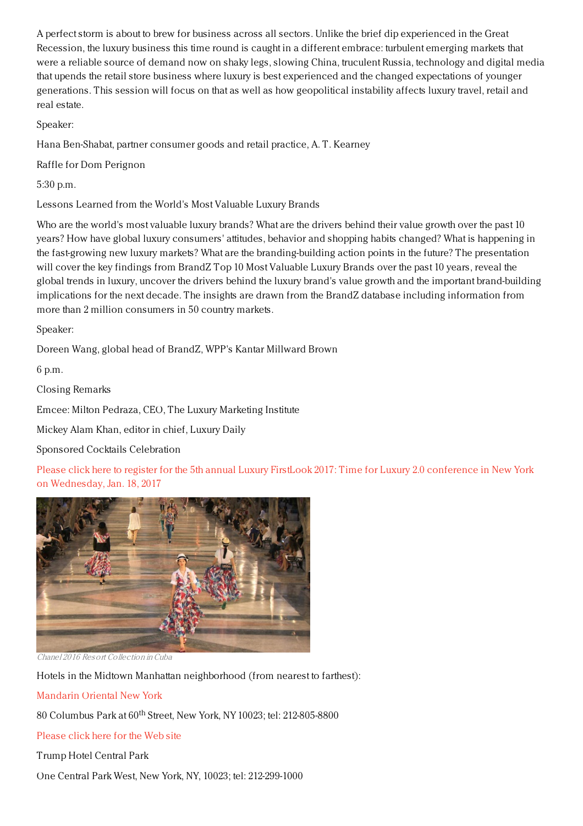A perfect storm is about to brew for business across all sectors. Unlike the brief dip experienced in the Great Recession, the luxury business this time round is caught in a different embrace: turbulent emerging markets that were a reliable source of demand now on shaky legs, slowing China, truculent Russia, technology and digital media that upends the retail store business where luxury is best experienced and the changed expectations of younger generations. This session will focus on that as well as how geopolitical instability affects luxury travel, retail and real estate.

Speaker:

Hana Ben-Shabat, partner consumer goods and retail practice, A. T. Kearney

Raffle for Dom Perignon

5:30 p.m.

Lessons Learned from the World's Most Valuable Luxury Brands

Who are the world's most valuable luxury brands? What are the drivers behind their value growth over the past 10 years? How have global luxury consumers' attitudes, behavior and shopping habits changed? What is happening in the fast-growing new luxury markets? What are the branding-building action points in the future? The presentation will cover the key findings from BrandZ Top 10 Most Valuable Luxury Brands over the past 10 years, reveal the global trends in luxury, uncover the drivers behind the luxury brand's value growth and the important brand-building implications for the next decade. The insights are drawn from the BrandZ database including information from more than 2 million consumers in 50 country markets.

Speaker:

Doreen Wang, global head of BrandZ, WPP's Kantar Millward Brown

6 p.m.

Closing Remarks

Emcee: Milton Pedraza, CEO, The Luxury Marketing Institute

Mickey Alam Khan, editor in chief, Luxury Daily

Sponsored Cocktails Celebration

Please click here to register for the 5th annual Luxury FirstLook 2017: Time for Luxury 2.0 conference in New York on [Wednesday,](https://www.luxurydaily.com/conference-page/) Jan. 18, 2017



Chanel 2016 Resort Collection inCuba

Hotels in the Midtown Manhattan neighborhood (from nearest to farthest):

[Mandarin](http://www.mandarinoriental.com/newyork/?htl=MONYC&eng=google&src=local) Oriental New York

80 Columbus Park at  $60^{\rm th}$  Street, New York, NY 10023; tel: 212-805-8800

[Please](http://www.mandarinoriental.com/newyork/?htl=MONYC&eng=google&src=local) click here for the Web site

Trump Hotel Central Park

One Central Park West, New York, NY, 10023; tel: 212-299-1000